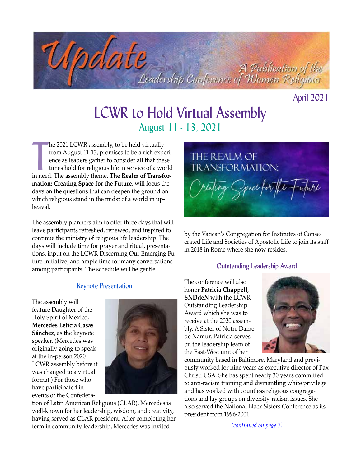

April 2021

# LCWR to Hold Virtual Assembly August 11 - 13, 2021

he 2021 LCWR assembly, to be held virtually<br>from August 11-13, promises to be a rich experi-<br>ence as leaders gather to consider all that these<br>times hold for religious life in service of a world<br>in need. The assembly theme he 2021 LCWR assembly, to be held virtually from August 11-13, promises to be a rich experience as leaders gather to consider all that these times hold for religious life in service of a world **mation: Creating Space for the Future**, will focus the days on the questions that can deepen the ground on which religious stand in the midst of a world in upheaval.

The assembly planners aim to offer three days that will leave participants refreshed, renewed, and inspired to continue the ministry of religious life leadership. The days will include time for prayer and ritual, presentations, input on the LCWR Discerning Our Emerging Future Initiative, and ample time for many conversations among participants. The schedule will be gentle.

#### Keynote Presentation

The assembly will feature Daughter of the Holy Spirit of Mexico, **Mercedes Leticia Casas Sánchez**, as the keynote speaker. (Mercedes was originally going to speak at the in-person 2020 LCWR assembly before it was changed to a virtual format.) For those who have participated in events of the Confedera-



tion of Latin American Religious (CLAR), Mercedes is well-known for her leadership, wisdom, and creativity, having served as CLAR president. After completing her term in community leadership, Mercedes was invited



by the Vatican's Congregation for Institutes of Consecrated Life and Societies of Apostolic Life to join its staff in 2018 in Rome where she now resides.

#### Outstanding Leadership Award

The conference will also honor **Patricia Chappell, SNDdeN** with the LCWR Outstanding Leadership Award which she was to receive at the 2020 assembly. A Sister of Notre Dame de Namur, Patricia serves on the leadership team of the East-West unit of her



community based in Baltimore, Maryland and previously worked for nine years as executive director of Pax Christi USA. She has spent nearly 30 years committed to anti-racism training and dismantling white privilege and has worked with countless religious congregations and lay groups on diversity-racism issues. She also served the National Black Sisters Conference as its president from 1996-2001.

*(continued on page 3)*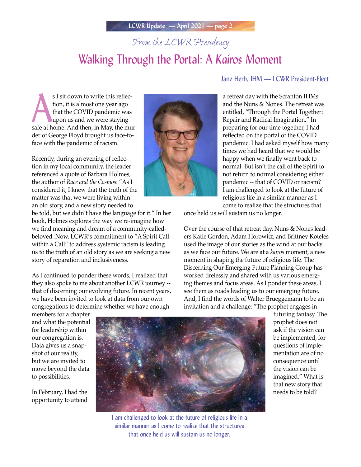# *From the LCWR Presidency*

# Walking Through the Portal: A *Kairos* Moment

s I sit down to write this reflection, it is almost one year ago<br>that the COVID pandemic was<br>upon us and we were staying<br>safe at home. And then, in May, the murs I sit down to write this reflection, it is almost one year ago that the COVID pandemic was upon us and we were staying der of George Floyd brought us face-to-

Recently, during an evening of reflection in my local community, the leader referenced a quote of Barbara Holmes, the author of *Race and the Cosmos*: "As I considered it, I knew that the truth of the matter was that we were living within an old story, and a new story needed to

face with the pandemic of racism.

be told, but we didn't have the language for it." In her book, Holmes explores the way we re-imagine how we find meaning and dream of a community-calledbeloved. Now, LCWR's commitment to "A Spirit Call within a Call" to address systemic racism is leading us to the truth of an old story as we are seeking a new story of reparation and inclusiveness.

As I continued to ponder these words, I realized that they also spoke to me about another LCWR journey - that of discerning our evolving future. In recent years, we have been invited to look at data from our own congregations to determine whether we have enough



### Jane Herb, IHM — LCWR President-Elect

a retreat day with the Scranton IHMs and the Nuns & Nones. The retreat was entitled, "Through the Portal Together: Repair and Radical Imagination." In preparing for our time together, I had reflected on the portal of the COVID pandemic. I had asked myself how many times we had heard that we would be happy when we finally went back to normal. But isn't the call of the Spirit to not return to normal considering either pandemic -- that of COVID or racism? I am challenged to look at the future of religious life in a similar manner as I come to realize that the structures that

once held us will sustain us no longer.

Over the course of that retreat day, Nuns & Nones leaders Katie Gordon, Adam Horowitz, and Brittney Koteles used the image of our stories as the wind at our backs as we face our future. We are at a *kairos* moment, a new moment in shaping the future of religious life. The Discerning Our Emerging Future Planning Group has worked tirelessly and shared with us various emerging themes and focus areas. As I ponder these areas, I see them as roads leading us to our emerging future. And, I find the words of Walter Brueggemann to be an invitation and a challenge: "The prophet engages in

members for a chapter and what the potential for leadership within our congregation is. Data gives us a snapshot of our reality, but we are invited to move beyond the data to possibilities.

In February, I had the opportunity to attend



I am challenged to look at the future of religious life in a similar manner as I come to realize that the structures that once held us will sustain us no longer.

futuring fantasy. The prophet does not ask if the vision can be implemented, for questions of implementation are of no consequence until the vision can be imagined." What is that new story that needs to be told?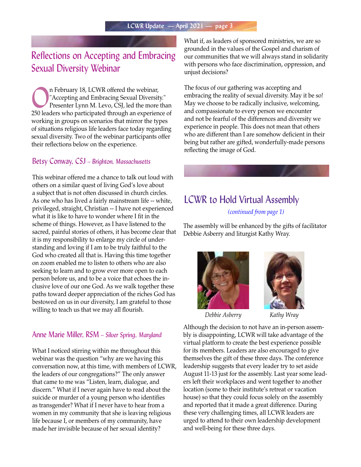### Reflections on Accepting and Embracing Sexual Diversity Webinar

The February 18, LCWR offered the webinar,<br>
"Accepting and Embracing Sexual Diversit"<br>
Presenter Lynn M. Levo, CSJ, led the more "Accepting and Embracing Sexual Diversity." Presenter Lynn M. Levo, CSJ, led the more than 250 leaders who participated through an experience of working in groups on scenarios that mirror the types of situations religious life leaders face today regarding sexual diversity. Two of the webinar participants offer their reflections below on the experience.

### Betsy Conway, CSJ -- *Brighton, Massachusetts*

This webinar offered me a chance to talk out loud with others on a similar quest of living God's love about a subject that is not often discussed in church circles. As one who has lived a fairly mainstream life -- white, privileged, straight, Christian -- I have not experienced what it is like to have to wonder where I fit in the scheme of things. However, as I have listened to the sacred, painful stories of others, it has become clear that it is my responsibility to enlarge my circle of understanding and loving if I am to be truly faithful to the God who created all that is. Having this time together on zoom enabled me to listen to others who are also seeking to learn and to grow ever more open to each person before us, and to be a voice that echoes the inclusive love of our one God. As we walk together these paths toward deeper appreciation of the riches God has bestowed on us in our diversity, I am grateful to those willing to teach us that we may all flourish.

### Anne Marie Miller, RSM -- *Silver Spring, Maryland*

What I noticed stirring within me throughout this webinar was the question "why are we having this conversation now, at this time, with members of LCWR, the leaders of our congregations?" The only answer that came to me was "Listen, learn, dialogue, and discern." What if I never again have to read about the suicide or murder of a young person who identifies as transgender? What if I never have to hear from a women in my community that she is leaving religious life because I, or members of my community, have made her invisible because of her sexual identity?

What if, as leaders of sponsored ministries, we are so grounded in the values of the Gospel and charism of our communities that we will always stand in solidarity with persons who face discrimination, oppression, and unjust decisions?

The focus of our gathering was accepting and embracing the reality of sexual diversity. May it be so! May we choose to be radically inclusive, welcoming, and compassionate to every person we encounter and not be fearful of the differences and diversity we experience in people. This does not mean that others who are different than I are somehow deficient in their being but rather are gifted, wonderfully-made persons reflecting the image of God.

# LCWR to Hold Virtual Assembly

*(continued from page 1)*

The assembly will be enhanced by the gifts of facilitator Debbie Asberry and liturgist Kathy Wray.



*Debbie Asberry Kathy Wray*



Although the decision to not have an in-person assembly is disappointing, LCWR will take advantage of the virtual platform to create the best experience possible for its members. Leaders are also encouraged to give themselves the gift of these three days. The conference leadership suggests that every leader try to set aside August 11-13 just for the assembly. Last year some leaders left their workplaces and went together to another location (some to their institute's retreat or vacation house) so that they could focus solely on the assembly and reported that it made a great difference. During these very challenging times, all LCWR leaders are urged to attend to their own leadership development and well-being for these three days.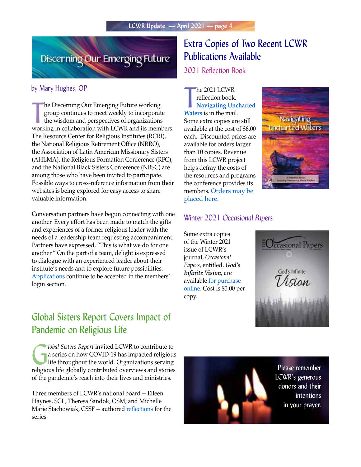

#### by Mary Hughes, OP

The Discerning Our Emerging Future working<br>group continues to meet weekly to incorporate<br>the wisdom and perspectives of organizations<br>working in collaboration with LCWR and its members. he Discerning Our Emerging Future working group continues to meet weekly to incorporate the wisdom and perspectives of organizations The Resource Center for Religious Institutes (RCRI), the National Religious Retirement Office (NRRO), the Association of Latin American Missionary Sisters (AHLMA), the Religious Formation Conference (RFC), and the National Black Sisters Conference (NBSC) are among those who have been invited to participate. Possible ways to cross-reference information from their websites is being explored for easy access to share valuable information.

Conversation partners have begun connecting with one another. Every effort has been made to match the gifts and experiences of a former religious leader with the needs of a leadership team requesting accompaniment. Partners have expressed, "This is what we do for one another." On the part of a team, delight is expressed to dialogue with an experienced leader about their institute's needs and to explore future possibilities. [Applications](https://lcwr.org/members/discernment-future-religious-life) continue to be accepted in the members' login section.

### Global Sisters Report Covers Impact of Pandemic on Religious Life

G*lobal Sisters Report* invited LCWR to contribute to a series on how COVID-19 has impacted religious life throughout the world. Organizations serving religious life globally contributed overviews and stories of the pandemic's reach into their lives and ministries.

Three members of LCWR's national board -- Eileen Haynes, SCL; Theresa Sandok, OSM; and Michelle Marie Stachowiak, CSSF -- authored [reflections](https://www.globalsistersreport.org/news/coronavirus/column/during-past-year-covid-19-disruption-us-sisters-connected-online-continued) for the series.

## Extra Copies of Two Recent LCWR Publications Available

2021 Reflection Book

**The 2021 LCWR**<br> **Waters** is in the mail. he 2021 LCWR reflection book, **Navigating Uncharted**  Some extra copies are still available at the cost of \$6.00 each. Discounted prices are available for orders larger than 10 copies. Revenue from this LCWR project helps defray the costs of the resources and programs the conference provides its members. [Orders may be](https://lcwr.org/item/reflection-books/2021)  [placed here.](https://lcwr.org/item/reflection-books/2021)



### Winter 2021 *Occasional Papers*

Some extra copies of the Winter 2021 issue of LCWR's journal, *Occasional Papers*, entitled, *God's Infinite Vision,* are available [for purchase](https://www.lcwr.org/item/occasional-papers-occasional-papers-occasional-papers/winter-2021)  [online](https://www.lcwr.org/item/occasional-papers-occasional-papers-occasional-papers/winter-2021). Cost is \$5.00 per copy.



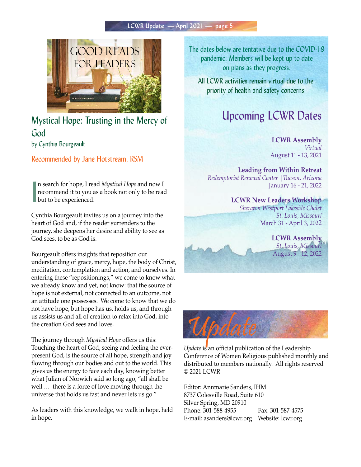

Mystical Hope: Trusting in the Mercy of God by Cynthia Bourgeault

Recommended by Jane Hotstream, RSM

I n search for hope, I read *Mystical Hope* and now I recommend it to you as a book not only to be read but to be experienced.

Cynthia Bourgeault invites us on a journey into the heart of God and, if the reader surrenders to the journey, she deepens her desire and ability to see as God sees, to be as God is.

Bourgeault offers insights that reposition our understanding of grace, mercy, hope, the body of Christ, meditation, contemplation and action, and ourselves. In entering these "repositionings," we come to know what we already know and yet, not know: that the source of hope is not external, not connected to an outcome, not an attitude one possesses. We come to know that we do not have hope, but hope has us, holds us, and through us assists us and all of creation to relax into God, into the creation God sees and loves.

The journey through *Mystical Hope* offers us this: Touching the heart of God, seeing and feeling the everpresent God, is the source of all hope, strength and joy flowing through our bodies and out to the world. This gives us the energy to face each day, knowing better what Julian of Norwich said so long ago, "all shall be well … there is a force of love moving through the universe that holds us fast and never lets us go."

As leaders with this knowledge, we walk in hope, held in hope.

The dates below are tentative due to the COVID-19 pandemic. Members will be kept up to date on plans as they progress.

All LCWR activities remain virtual due to the priority of health and safety concerns

# Upcoming LCWR Dates

**LCWR Assembly** *Virtual* August 11 - 13, 2021

**Leading from Within Retreat** *Redemptorist Renewal Center |Tucson, Arizona*  January 16 - 21, 2022

> **LCWR New Leaders Workshop** *Sheraton Westport Lakeside Chalet St. Louis, Missouri* March 31 - April 3, 2022

> > **LCWR Assembly** *St. Louis, Missouri* August 9 - 12, 2022



*Update* is an official publication of the Leadership Conference of Women Religious published monthly and distributed to members nationally. All rights reserved © 2021 LCWR

Editor: Annmarie Sanders, IHM 8737 Colesville Road, Suite 610 Silver Spring, MD 20910 Phone: 301-588-4955 Fax: 301-587-4575 E-mail: asanders@lcwr.org Website: lcwr.org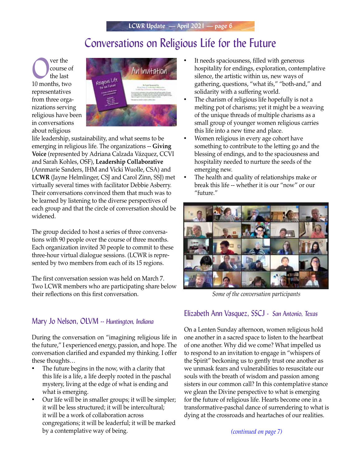# Conversations on Religious Life for the Future

Over the course of the last course of the last 10 months, two representatives from three organizations serving religious have been in conversations about religious



life leadership, sustainability, and what seems to be emerging in religious life. The organizations -- **Giving Voice** (represented by Adriana Calzada Vázquez, CCVI and Sarah Kohles, OSF), **Leadership Collaborative** (Annmarie Sanders, IHM and Vicki Wuolle, CSA) and **LCWR** (Jayne Helmlinger, CSJ and Carol Zinn, SSJ) met virtually several times with facilitator Debbie Asberry. Their conversations convinced them that much was to be learned by listening to the diverse perspectives of each group and that the circle of conversation should be widened.

The group decided to host a series of three conversations with 90 people over the course of three months. Each organization invited 30 people to commit to these three-hour virtual dialogue sessions. (LCWR is represented by two members from each of its 15 regions.

The first conversation session was held on March 7. Two LCWR members who are participating share below their reflections on this first conversation.

### Mary Jo Nelson, OLVM -- *Huntington, Indiana*

During the conversation on "imagining religious life in the future," I experienced energy, passion, and hope. The conversation clarified and expanded my thinking. I offer these thoughts…

- The future begins in the now, with a clarity that this life is a life, a life deeply rooted in the paschal mystery, living at the edge of what is ending and what is emerging.
- Our life will be in smaller groups; it will be simpler; it will be less structured; it will be intercultural; it will be a work of collaboration across congregations; it will be leaderful; it will be marked by a contemplative way of being.
- It needs spaciousness, filled with generous hospitality for endings, exploration, contemplative silence, the artistic within us, new ways of gathering, questions, "what ifs," "both-and," and solidarity with a suffering world.
- The charism of religious life hopefully is not a melting pot of charisms; yet it might be a weaving of the unique threads of multiple charisms as a small group of younger women religious carries this life into a new time and place.
- Women religious in every age cohort have something to contribute to the letting go and the blessing of endings, and to the spaciousness and hospitality needed to nurture the seeds of the emerging new.
- The health and quality of relationships make or break this life -- whether it is our "now" or our "future."



*Some of the conversation participants*

### Elizabeth Ann Vasquez, SSCJ - *San Antonio, Texas*

On a Lenten Sunday afternoon, women religious hold one another in a sacred space to listen to the heartbeat of one another. Why did we come? What impelled us to respond to an invitation to engage in "whispers of the Spirit" beckoning us to gently trust one another as we unmask fears and vulnerabilities to resuscitate our souls with the breath of wisdom and passion among sisters in our common call? In this contemplative stance we glean the Divine perspective to what is emerging for the future of religious life. Hearts become one in a transformative-paschal dance of surrendering to what is dying at the crossroads and heartaches of our realities.

*(continued on page 7)*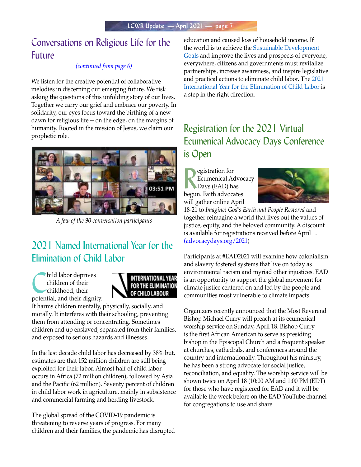### Conversations on Religious Life for the Future

#### *(continued from page 6)*

We listen for the creative potential of collaborative melodies in discerning our emerging future. We risk asking the questions of this unfolding story of our lives. Together we carry our grief and embrace our poverty. In solidarity, our eyes focus toward the birthing of a new dawn for religious life -- on the edge, on the margins of humanity. Rooted in the mission of Jesus, we claim our prophetic role.



*A few of the 90 conversation participants*

## 2021 Named International Year for the Elimination of Child Labor

hild labor deprives children of their childhood, their potential, and their dignity.



It harms children mentally, physically, socially, and morally. It interferes with their schooling, preventing them from attending or concentrating. Sometimes children end up enslaved, separated from their families, and exposed to serious hazards and illnesses.

In the last decade child labor has decreased by 38% but, estimates are that 152 million children are still being exploited for their labor. Almost half of child labor occurs in Africa (72 million children), followed by Asia and the Pacific (62 million). Seventy percent of children in child labor work in agriculture, mainly in subsistence and commercial farming and herding livestock.

The global spread of the COVID-19 pandemic is threatening to reverse years of progress. For many children and their families, the pandemic has disrupted education and caused loss of household income. If the world is to achieve the [Sustainable Development](https://www.un.org/sustainabledevelopment/sustainable-development-goals/)  [Goals](https://www.un.org/sustainabledevelopment/sustainable-development-goals/) and improve the lives and prospects of everyone, everywhere, citizens and governments must revitalize partnerships, increase awareness, and inspire legislative and practical actions to eliminate child labor. The [2021](https://endchildlabour2021.org/)  [International Year for the Elimination of Child Labor](https://endchildlabour2021.org/) is a step in the right direction.

## Registration for the 2021 Virtual Ecumenical Advocacy Days Conference is Open

**R** egistration for<br>
Ecumenical Advoc<br>
Days (EAD) has<br>
begun. Faith advocates egistration for Ecumenical Advocacy Days (EAD) has will gather online April



18-21 to *Imagine! God's Earth and People Restored* and together reimagine a world that lives out the values of justice, equity, and the beloved community. A discount is available for registrations received before April 1. (advocacydays.org/2021)

Participants at #EAD2021 will examine how colonialism and slavery fostered systems that live on today as environmental racism and myriad other injustices. EAD is an opportunity to support the global movement for climate justice centered on and led by the people and communities most vulnerable to climate impacts.

Organizers recently announced that the Most Reverend Bishop Michael Curry will preach at its ecumenical worship service on Sunday, April 18. Bishop Curry is the first African American to serve as presiding bishop in the Episcopal Church and a frequent speaker at churches, cathedrals, and conferences around the country and internationally. Throughout his ministry, he has been a strong advocate for social justice, reconciliation, and equality. The worship service will be shown twice on April 18 (10:00 AM and 1:00 PM (EDT) for those who have registered for EAD and it will be available the week before on the EAD YouTube channel for congregations to use and share.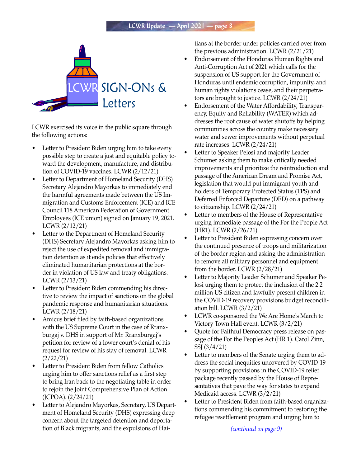

LCWR exercised its voice in the public square through the following actions:

- Letter to President Biden urging him to take every possible step to create a just and equitable policy toward the development, manufacture, and distribution of COVID-19 vaccines. LCWR (2/12/21)
- Letter to Department of Homeland Security (DHS) Secretary Alejandro Mayorkas to immediately end the harmful agreements made between the US Immigration and Customs Enforcement (ICE) and ICE Council 118 American Federation of Government Employees (ICE union) signed on January 19, 2021. LCWR (2/12/21)
- Letter to the Department of Homeland Security (DHS) Secretary Alejandro Mayorkas asking him to reject the use of expedited removal and immigration detention as it ends policies that effectively eliminated humanitarian protections at the border in violation of US law and treaty obligations. LCWR (2/13/21)
- Letter to President Biden commending his directive to review the impact of sanctions on the global pandemic response and humanitarian situations. LCWR (2/18/21)
- Amicus brief filed by faith-based organizations with the US Supreme Court in the case of Rranxburgaj v. DHS in support of Mr. Rranxburgaj's petition for review of a lower court's denial of his request for review of his stay of removal. LCWR (2/22/21)
- Letter to President Biden from fellow Catholics urging him to offer sanctions relief as a first step to bring Iran back to the negotiating table in order to rejoin the Joint Comprehensive Plan of Action (JCPOA). (2/24/21)
- Letter to Alejandro Mayorkas, Secretary, US Department of Homeland Security (DHS) expressing deep concern about the targeted detention and deportation of Black migrants, and the expulsions of Hai-

tians at the border under policies carried over from the previous administration. LCWR (2/21/21)

- Endorsement of the Honduras Human Rights and Anti-Corruption Act of 2021 which calls for the suspension of US support for the Government of Honduras until endemic corruption, impunity, and human rights violations cease, and their perpetrators are brought to justice. LCWR (2/24/21)
- Endorsement of the Water Affordability, Transparency, Equity and Reliability (WATER) which addresses the root cause of water shutoffs by helping communities across the country make necessary water and sewer improvements without perpetual rate increases. LCWR (2/24/21)
- Letter to Speaker Pelosi and majority Leader Schumer asking them to make critically needed improvements and prioritize the reintroduction and passage of the American Dream and Promise Act, legislation that would put immigrant youth and holders of Temporary Protected Status (TPS) and Deferred Enforced Departure (DED) on a pathway to citizenship. LCWR (2/24/21)
- Letter to members of the House of Representative urging immediate passage of the For the People Act (HR1). LCWR (2/26/21)
- Letter to President Biden expressing concern over the continued presence of troops and militarization of the border region and asking the administration to remove all military personnel and equipment from the border. LCWR (2/28/21)
- Letter to Majority Leader Schumer and Speaker Pelosi urging them to protect the inclusion of the 2.2 million US citizen and lawfully present children in the COVID-19 recovery provisions budget reconciliation bill. LCWR (3/2/21)
- LCWR co-sponsored the We Are Home's March to Victory Town Hall event. LCWR (3/2/21)
- Quote for Faithful Democracy press release on passage of the For the Peoples Act (HR 1). Carol Zinn, SSJ (3/4/21)
- Letter to members of the Senate urging them to address the social inequities uncovered by COVID-19 by supporting provisions in the COVID-19 relief package recently passed by the House of Representatives that pave the way for states to expand Medicaid access. LCWR (3/2/21)
- Letter to President Biden from faith-based organizations commending his commitment to restoring the refugee resettlement program and urging him to

*(continued on page 9)*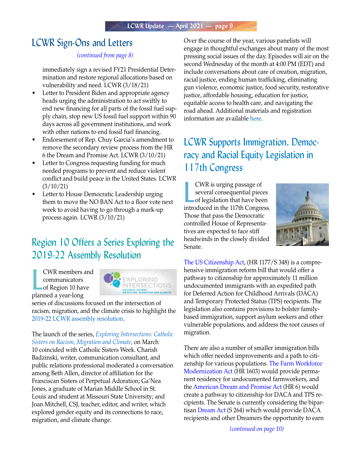### LCWR Sign-Ons and Letters

#### *(continued from page 8)*

immediately sign a revised FY21 Presidential Determination and restore regional allocations based on vulnerability and need. LCWR (3/18/21)

- Letter to President Biden and appropriate agency heads urging the administration to act swiftly to end new financing for all parts of the fossil fuel supply chain, stop new US fossil fuel support within 90 days across all government institutions, and work with other nations to end fossil fuel financing.
- Endorsement of Rep. Chuy Garcia's amendment to remove the secondary review process from the HR 6 the Dream and Promise Act. LCWR (3/10/21)
- Letter to Congress requesting funding for much needed programs to prevent and reduce violent conflict and build peace in the United States. LCWR (3/10/21)
- Letter to House Democratic Leadership urging them to move the NO BAN Act to a floor vote next week to avoid having to go through a mark-up process again. LCWR (3/10/21)

## Region 10 Offers a Series Exploring the 2019-22 Assembly Resolution

**CWR** members a<br>
communicators<br>
of Region 10 has<br>
planned a year-long CWR members and communicators of Region 10 have



series of discussions focused on the intersection of racism, migration, and the climate crisis to highlight the [2019-22 LCWR assembly resolution.](https://lcwr.org/sites/default/files/calendar/attachments/2019_lcwr_assembly_resolution.pdf)

The launch of the series, *[Exploring Intersections: Catholic](https://exploringintersections.org/)  [Sisters on Racism, Migration and Climate](https://exploringintersections.org/),* on March 10 coincided with Catholic Sisters Week. Charish Badzinski, writer, communication consultant, and public relations professional moderated a conversation among Beth Allen, director of affiliation for the Franciscan Sisters of Perpetual Adoration; Ga'Nea Jones, a graduate of Marian Middle School in St. Louis and student at Missouri State University; and Joan Mitchell, CSJ, teacher, editor, and writer, which explored gender equity and its connections to race, migration, and climate change.

Over the course of the year, various panelists will engage in thoughtful exchanges about many of the most pressing social issues of the day. Episodes will air on the second Wednesday of the month at 4:00 PM (EDT) and include conversations about care of creation, migration, racial justice, ending human trafficking, eliminating gun violence, economic justice, food security, restorative justice, affordable housing, education for justice, equitable access to health care, and navigating the road ahead. Additional materials and registration information are available [here](https://exploringintersections.org/how-to-join/).

## LCWR Supports Immigration, Democracy and Racial Equity Legislation in 117th Congress

**EVR** is urging passage of<br>several consequential pieces<br>of legislation that have been<br>introduced in the 117th Congress. CWR is urging passage of several consequential pieces of legislation that have been Those that pass the Democratic controlled House of Representatives are expected to face stiff headwinds in the closely divided Senate.



The US Citizenship Act, (HR 1177/S 348) is a comprehensive immigration reform bill that would offer a pathway to citizenship for approximately 11 million undocumented immigrants with an expedited path for Deferred Action for Childhood Arrivals (DACA) and Temporary Protected Status (TPS) recipients. The legislation also contains provisions to bolster familybased immigration, support asylum seekers and other vulnerable populations, and address the root causes of migration.

There are also a number of smaller immigration bills which offer needed improvements and a path to citizenship for various populations. The Farm Workforce Modernization Act (HR 1603) would provide permanent residency for undocumented farmworkers, and the American Dream and Promise Act (HR 6) would create a pathway to citizenship for DACA and TPS recipients. The Senate is currently considering the bipartisan Dream Act (S 264) which would provide DACA recipients and other Dreamers the opportunity to earn

*(continued on page 10)*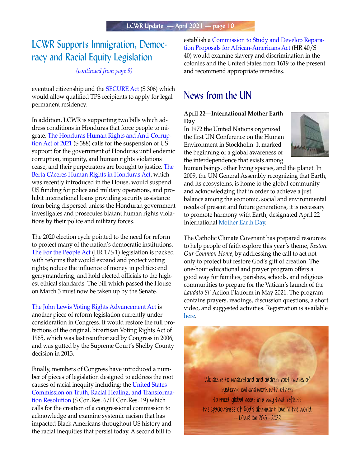### LCWR Supports Immigration, Democracy and Racial Equity Legislation

#### *(continued from page 9)*

eventual citizenship and the SECURE Act (S 306) which would allow qualified TPS recipients to apply for legal permanent residency.

In addition, LCWR is supporting two bills which address conditions in Honduras that force people to migrate. The Honduras Human Rights and Anti-Corruption Act of 2021 (S 388) calls for the suspension of US support for the government of Honduras until endemic corruption, impunity, and human rights violations cease, and their perpetrators are brought to justice. The Berta Cáceres Human Rights in Honduras Act, which was recently introduced in the House, would suspend US funding for police and military operations, and prohibit international loans providing security assistance from being dispersed unless the Honduran government investigates and prosecutes blatant human rights violations by their police and military forces.

The 2020 election cycle pointed to the need for reform to protect many of the nation's democratic institutions. The For the People Act (HR 1/S 1) legislation is packed with reforms that would expand and protect voting rights; reduce the influence of money in politics; end gerrymandering; and hold elected officials to the highest ethical standards. The bill which passed the House on March 3 must now be taken up by the Senate.

The John Lewis Voting Rights Advancement Act is another piece of reform legislation currently under consideration in Congress. It would restore the full protections of the original, bipartisan Voting Rights Act of 1965, which was last reauthorized by Congress in 2006, and was gutted by the Supreme Court's Shelby County decision in 2013.

Finally, members of Congress have introduced a number of pieces of legislation designed to address the root causes of racial inequity including: the United States Commission on Truth, Racial Healing, and Transformation Resolution (S Con.Res. 6/H Con.Res. 19) which calls for the creation of a congressional commission to acknowledge and examine systemic racism that has impacted Black Americans throughout US history and the racial inequities that persist today. A second bill to

establish a Commission to Study and Develop Reparation Proposals for African-Americans Act (HR 40/S 40) would examine slavery and discrimination in the colonies and the United States from 1619 to the present and recommend appropriate remedies.

### News from the UN

#### **April 22—International Mother Earth Day**

In 1972 the United Nations organized the first UN Conference on the Human Environment in Stockholm. It marked the beginning of a global awareness of the interdependence that exists among



human beings, other living species, and the planet. In 2009, the UN General Assembly recognizing that Earth, and its ecosystems, is home to the global community and acknowledging that in order to achieve a just balance among the economic, social and environmental needs of present and future generations, it is necessary to promote harmony with Earth, designated April 22 International [Mother Earth Day.](https://www.un.org/en/observances/earth-day)

The Catholic Climate Covenant has prepared resources to help people of faith explore this year's theme, *Restore Our Common Home*, by addressing the call to act not only to protect but restore God's gift of creation. The one-hour educational and prayer program offers a good way for families, parishes, schools, and religious communities to prepare for the Vatican's launch of the *Laudato Si'* Action Platform in May 2021. The program contains prayers, readings, discussion questions, a short video, and suggested activities. Registration is available [here.](https://catholicclimatecovenant.org/program/earth-day)

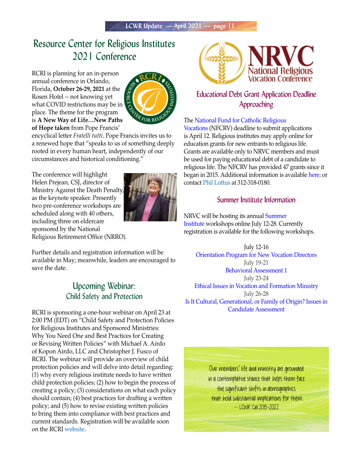### Resource Center for Religious Institutes 2021 Conference

RCRI is planning for an in-person annual conference in Orlando, Florida, **October 26-29, 2021** at the Rosen Hotel -- not knowing yet what COVID restrictions may be in place. The theme for the program is **A New Way of Life…New Paths of Hope taken** from Pope Francis'



encyclical letter *Fratelli tutti*. Pope Francis invites us to a renewed hope that "speaks to us of something deeply rooted in every human heart, independently of our circumstances and historical conditioning."

The conference will highlight Helen Prejean, CSJ, director of Ministry Against the Death Penalty, as the keynote speaker. Presently two pre-conference workshops are scheduled along with 40 others, including three on eldercare sponsored by the National Religious Retirement Office (NRRO).



Further details and registration information will be available in May; meanwhile, leaders are encouraged to save the date.

### Upcoming Webinar: Child Safety and Protection

RCRI is sponsoring a one-hour webinar on April 23 at 2:00 PM (EDT) on "Child Safety and Protection Policies for Religious Institutes and Sponsored Ministries: Why You Need One and Best Practices for Creating or Revising Written Policies" with Michael A. Airdo of Kopon Airdo, LLC and Christopher J. Fusco of RCRI. The webinar will provide an overview of child protection policies and will delve into detail regarding: (1) why every religious institute needs to have written child protection policies; (2) how to begin the process of creating a policy; (3) considerations on what each policy should contain; (4) best practices for drafting a written policy; and (5) how to revise existing written policies to bring them into compliance with best practices and current standards. Registration will be available soon on the RCRI [website](https://www.trcri.org/default.aspx).



### Educational Debt Grant Application Deadline Approaching

#### The [National Fund for Catholic Religious](https://www.vocationfund.org/)

[Vocations](https://www.vocationfund.org/) (NFCRV) deadline to submit applications is April 12. Religious institutes may apply online for education grants for new entrants to religious life. Grants are available only to NRVC members and must be used for paying educational debt of a candidate to religious life. The NFCRV has provided 47 grants since it began in 2015. Additional information is available [here;](https://www.vocationfund.org/grant-application) or contact [Phil Loftus](mailto:ploftus@nfcrv.org) at 312-318-0180.

### Summer Institute Information

NRVC will be hosting its annual [Summer](https://nrvc.net/292/publication/11357/article/20765-2021-summer-institute-via-zoom)  [Institute](https://nrvc.net/292/publication/11357/article/20765-2021-summer-institute-via-zoom) workshops online July 12-28. Currently registration is available for the following workshops.

July 12-16 [Orientation Program for New Vocation Directors](https://nrvc.net/publication/11357/article/22061-orientation-program-for-new-vocation-directors) July 19-21 [Behavioral Assessment 1](https://nrvc.net/292/publication/11357/article/20780-behavioral-assessment-1-workshop) July 23-24 [Ethical Issues in Vocation and Formation Ministry](https://nrvc.net/292/publication/11357/article/20779-ethical-issues-in-vocation-and-formation-ministry-workshop) July 26-28 [Is It Cultural, Generational, or Family of Origin? Issues in](https://nrvc.net/292/publication/11357/article/20782-is-it-generational-cultural-or-family-of-origin-issues)  [Candidate Assessment](https://nrvc.net/292/publication/11357/article/20782-is-it-generational-cultural-or-family-of-origin-issues)

> Our members' life and ministry are grounded in a contemplative stance that helps them face the significant shifts in demographics that hold substantial implications for them. -- LCWR Call 2015-2022